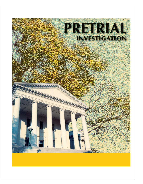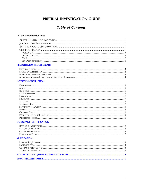# PRETRIAL INVESTIGATION GUIDE

## **Table of Contents**

#### **INTERVIEW PREPARATION**

## **PRE-INTERVIEW REQUIREMENTS**

#### **INTERVIEW COMPLETION**

#### **DEFENDANT IDENTIFICATION**

### **VERIFICATION**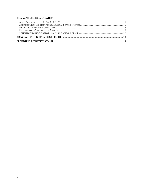## **COMMENTS/RECOMMENDATION**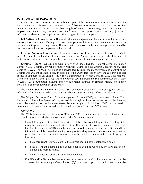### **INTERVIEW PREPARATION**

**Arrest Related Documentation** *-* Obtain copies of the commitment order and warrant(s) for each defendant. Review and document the following information if the Checklist for Bail Determination DC-327 form is available: length of time in community, place and length of employment, family ties, current probation/parole status, prior criminal record, §19.2-120 information related to presumption, and prior charges of failure to appear.

 **Jail Software Information** *–* The local jail software system can be a source of information if accessible to pretrial staff. Demographic and other personal information is often captured as well as the defendant's prior booking history. This information can assist in the interview preparation and be used to ensure the most complete criminal record.

**Existing Program Information** *-* Check for existing local program information on defendants in PTCC using the edit-find function and use the edit-find Master Name Index to check for current and prior pretrial services or community corrections placements in every Virginia program.

**Criminal Record** *-* Obtain a criminal history check including the National Crime Information Center (NCIC), Virginia Criminal Information Network (VCIN), and the Virginia Department of Motor Vehicles (DMV). The VCIN functions as a service facility under the management and control of the Virginia Department of State Police. In addition to the VCIN data files, the system also provides user access to databases maintained by the Virginia Department of Motor Vehicles (DMV), the National Crime Information Center (NCIC), and the National Law Enforcement Telecommunications System (NLETS). Local automated systems and non-automated sources of criminal history information should also be consulted when appropriate.

The Virginia State Police also maintains a Sex Offender Registry which can be a good source of information for defendants who have previously been convicted of a qualifying sex offense.

The Virginia Supreme Court Case Management System (CMS), a component of the Court Automated Information System (CAIS), accessible through a direct connection or via the Internet, should be checked for the localities served by the program. In addition, CMS can be used to determine dispositions for arrests with unknown dispositions found on a VCIN record.

#### *NCIC/VCIN*

The VCIN terminal is used to access NCIC and VCIN criminal records. The following steps should be performed when querying a defendant's criminal history.

- I. Complete a query of the NCIC and VCIN database by completing a Query History (QH) using the defendant's name and date of birth. This query will provide, when applicable, State Identification numbers (SID) and a Federal Bureau of Investigation number (FBI). In addition, information will be provided relating to any outstanding warrants, sex offender registration, protective orders, concealed weapons permits, and known associations with gangs or terrorists.
	- a. If a record is not returned, confirm the correct spelling of the defendant's name.
	- b. If the defendant is female and has ever been married, re-run the query using any and all maiden and married names.
	- c. For all defendants, enter any other known names.
- II. If a SID and/or FBI number are returned as a result of the QH the related records can be accessed by performing a Query Record (QR). A hard copy of a criminal record can be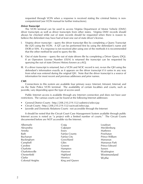requested through VCIN when a response is received stating the criminal history is noncomputerized (see VCIN manual for further instructions).

#### *Driver Transcript*

The VCIN terminal can be used to access Virginia Department of Motor Vehicle (DMV) driver transcripts as well as driver transcripts from other states. Virginia DMV records should always be checked while out of state records should be requested when there is reason to believe the defendant may have had at least one out of state driver's license.

- I. Virginia driver transcript query the driver transcript files by completing a Query Transcript file (QT) using the VCIN. A QT can be performed first by using the defendant's name and DOB or SSN. If a response is not received after using one of the methods it is recommended that the other method be used to query the file.
- II. Out of state license query the out of state drivers file by completing a Driver Query (DQ). If an Operators License Number (OLN) is returned the transcript can be requested by querying the out of state Drivers History known as a KQ.
- III. If a driver transcript is returned, but a VCIN and NCIC record is not, re-run the QH using the defendant's information exactly as it appears on the driver transcript if it varies in any way from what was entered during the original QH. Note that the driver transcript is a source of information for most recent and previous addresses and prior names.

#### *CMS*

Connections to this system are available four primary ways: Internet, Intranet, Internal, and via the State Police VCIN terminal. The availability of certain localities and courts, such as juvenile, vary depending upon the type of access used.

Public Internet access is available through any Internet connection and does not have user restrictions. The various courts can be found at the following Internet addresses:

- General District Courts http://208.210.219.132/vadistrict/select.jsp
- Circuit Courts http://208.210.219.132/vacircuit/select.jsp.
- Juvenile and Domestic Relations Courts not accessible through the Internet

It should be noted that the Circuit Court Case Management System available through public Internet access is noted as "a project with a limited number of courts." The Circuit Courts documented below are NOT accessible via the Internet.

| Albemarle        | Craig          | Loudoun        |
|------------------|----------------|----------------|
| Alexandria       | Culpeper       | Mecklenburg    |
| Amelia           | Essex          | Mathews        |
| Bath             | Fairfax County | Powhatan       |
| Buchanan         | Fairfax City   | Prince William |
| Buckingham       | Goochland      | Manassas       |
| Campbell         | Giles          | Manassas Park  |
| Caroline         | Greene         | Prince Edward  |
| Charlotte        | Hampton        | Sussex         |
| Charlottesville  | Hanover        | Washington     |
| Chesterfield     | Highland       | Westmoreland   |
| Clarke           | Henrico        | Wythe          |
| Colonial Heights | King and Queen |                |
|                  |                |                |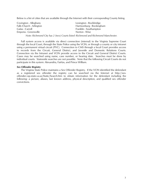Below is a list of cities that are available through the Internet with their corresponding County listing.

| Covington - Alleghany                                                            | Lexington - Rockbridge    |
|----------------------------------------------------------------------------------|---------------------------|
| Falls Church - Arlington                                                         | Harrisonburg - Rockingham |
| Galax - Carroll                                                                  | Franklin - Southampton    |
| Emporia - Greensville                                                            | Norton - Wise             |
| Note: Richmond City has 2 (two) Courts listed -Richmond and Richmond Manchester. |                           |

Full system access is available via direct connection (internal) to the Virginia Supreme Court through the local Court, through the State Police using the VCIN, or through a county or city intranet using a permanent virtual circuit (PVC). Connection to CMS through a local Court provides access to records from the Circuit, General District, and Juvenile and Domestic Relations Courts. Connection via the Intranet and VCIN provide access to the Circuit and General District Courts. Cases may be searched using name, case number, or hearing date. Searches must be done by individual courts. Statewide searches are not possible. Note that the following Circuit Courts do not participate in this system: Alexandria, Fairfax, and Prince William.

#### *Sex Offender Registry*

The Virginia State Police maintains a Sex Offender Registry. If the VCIN identified the defendant as a registered sex offender the registry can be searched via the Internet at http://sexoffender.vsp.state.va.us/Static/Search.htm to obtain information for the defendant including the following: a picture, aliases, last known address, physical description, and qualified sex offender convictions.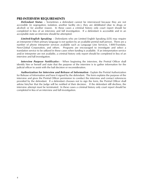#### **PRE-INTERVIEW REQUIREMENTS**

 *Defendant Status* – Sometimes a defendant cannot be interviewed because they are not accessible (in segregation, isolation, another facility etc.), they are debilitated (due to drugs or alcohol) or for another reason. In these cases a criminal history only court report should be completed in lieu of an interview and full investigation. If a defendant is accessible and in an acceptable state an interview should be attempted.

 *Limited-English Speaking –* Defendants who are Limited English Speaking (LES) may require an interpreter if their primary language is not spoken by an available pretrial staff person. There are a number of phone interpreter services available such as Language Line Services, 1-800-Translate, New-Global Corporation, and others. Programs are encouraged to investigate and select a translation service to be utilized in these cases when funding is available. If an interpretation service and/or interpreter are not available, a criminal history only report should be completed in lieu of an interview and full investigation.

**Interview Purpose Notificatio**n - When beginning the interview, the Pretrial Officer shall identify him or herself and state that the purpose of the interview is to gather information for the judicial officer to assist with the bail decision or reconsideration.

*Authorization for Interview and Release of Information* - Explain the Pretrial Authorization for Release of Information and have it signed by the defendant. The form explains the purpose of the interview and gives the Pretrial Officer permission to conduct the interview and contact references provided by the defendant. If a defendant chooses not to sign the form, the Pretrial Officer shall advise him/her that the Judge will be notified of their decision. If the defendant still declines, the interview attempt must be terminated. In these cases a criminal history only court report should be completed in lieu of an interview and full investigation.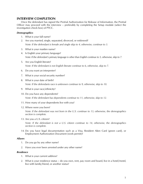## **INTERVIEW COMPLETION**

Once the defendant has signed the Pretrial Authorization for Release of Information, the Pretrial Officer may proceed with the interview – preferably by completing the Setup module (select the investigation check box) of PTCC.

#### *Demographics*

- 1. What is your full name?
- 2. Are you married, single, separated, divorced, or widowed? *Note: If the defendant is female and single skip to 4, otherwise, continue to 3.*
- 3. What is your maiden name?
- 4. Is English your primary language? *Note: If the defendant's primary language is other than English continue to 5, otherwise, skip to 7.*
- 5. Are you English literate? *Note: If the defendant is not English literate continue to 6, otherwise, skip to 7.*
- 6. Do you want an interpreter?
- 7. What is your social security number?
- 8. What is your date of birth? *Note: If the defendants race is unknown continue to 9, otherwise, skip to 10.*
- 9. What is your race/ethnicity?
- 10. Do you have any dependents? *Note: If the defendant has dependents continue to 11, otherwise, skip to 12.*
- 11. How many of your dependents live with you?
- 12. Where were you born?

*Note: If the defendant was not born in the U.S. continue to 13, otherwise, the demographics section is complete.* 

13. Are you a U.S. citizen?

*Note: If the defendant is not a U.S. citizen continue to 14, otherwise, the demographics section is complete.* 

14. Do you have legal documentation such as a Visa, Resident Alien Card (green card), or Employment Authorization Document (work permit)?

#### *Aliases*

- 1. Do you go by any other name?
- 2. Have you ever been arrested under any other name?

#### *Residence*

- 1. What is your current address?
- 2. What is your residence status do you own, rent, pay room and board, live in a hotel/motel, live with family/friend, or another status?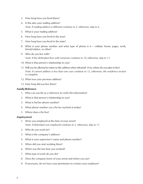- 3. How long have you lived there?
- 4. Is this also your mailing address? *Note: If mailing address is different continue to 5, otherwise, skip to 6.*
- 5. What is your mailing address?
- 6. How long have you lived in the area?
- 7. How long have you lived in the state?
- 8. What is your phone number and what type of phone is it cellular, home, pager, work, friend/relative, or other?
- 9. Who do you live with? *Note: If the defendant lives with someone continue to 10, otherwise, skip to 11.*
- 10. What is that person's relationship to you?
- 11. Will you be allowed to return to this address when released? If no, where do you plan to live? *Note: If current address is less than one year continue to 12, otherwise, the residence section is complete.*
- 12. What was your previous address?
- 13. How long did you live there?

#### *Family/Reference*

- 1. Who can you list as a reference to verify this information?
- 2. What is that person's relationship to you?
- 3. What is his/her phone number?
- 4. What phone number can s/he be reached at today?
- 5. Where does s/he live?

#### *Employment*

- 1. Were you employed at the time of your arrest? *Note: If defendant was employed continue to 2, otherwise, skip to 11.*
- 2. Who do you work for?
- 3. What is the company's address?
- 4. What is your supervisor's name and phone number?
- 5. When did you start working there?
- 6. When was the last time you worked?
- 7. What type of work do you do?
- 8. Does the company know of your arrest and where you are?
- 9. If necessary, do we have your permission to contact your employer?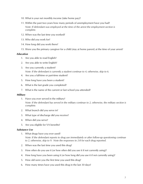- 10. What is your net monthly income (take home pay)?
- 11. Within the past two years how many periods of unemployment have you had? *Note: If defendant was employed at the time of the arrest the employment section is complete.*
- 12. When was the last time you worked?
- 13. Who did you work for?
- 14. How long did you work there?
- 15. Were you the primary caregiver for a child (stay at home parent) at the time of your arrest?

#### *Education*

- 1. Are you able to read English?
- 2. Are you able to write English?
- 3. Are you currently a student? *Note: If the defendant is currently a student continue to 4, otherwise, skip to 6.*
- 4. Are you a full-time or part-time student?
- 5. How long have you been a student?
- 6. What is the last grade you completed?
- 7. What is the name of the current or last school you attended?

#### *Military*

- 1. Have you ever served in the military? *Note: If the defendant has served in the military continue to 2, otherwise, the military section is complete.*
- 2. What branch did you serve in?
- 3. What type of discharge did you receive?
- 4. When did you serve?
- 5. Are you eligible for VA benefits?

#### *Substance Use*

- 1. What drugs have you ever used? *Note: If the defendant reports to drug use immediately or after follow-up questioning continue to 2, otherwise, skip to 9. Note the responses to 2-8 for each drug reported.*
- 2. When was the last time you used this drug?
- 3. How often do you use it (or how often did you use it if not currently using)?
- 4. How long have you been using it (or how long did you use it if not currently using)?
- 5. How old were you the first time you used this drug?
- 6. How many times have you used this drug in the last 30 days?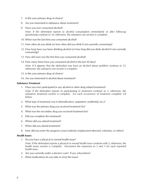- 7. Is this your primary drug of choice?
- 8. Are you interested in substance abuse treatment?
- 9. Have you ever consumed alcohol?

*Note: If the defendant reports to alcohol consumption immediately or after follow-up questioning continue to 10, otherwise, the substance use section is complete.* 

- 10. When was the last time you consumed alcohol?
- 11. How often do you drink (or how often did you drink if not currently consuming)?
- 12. How long have you been drinking alcohol (or how long did you drink alcohol if not currently consuming)?
- 13. How old were you the first time you consumed alcohol?
- 14. How many times have you consumed alcohol in the last 30 days?

*Note: If it appears that the defendant may have an alcohol abuse problem continue to 15, otherwise, the substance use section is complete.* 

- 15. Is this your primary drug of choice?
- 16. Are you interested in alcohol abuse treatment?

#### *Substance Treatment*

1. Have you ever participated in any alcohol or other drug related treatment?

*Note: If the defendant reports to participating in treatment continue to 2, otherwise, the substance treatment section is complete. For each occurrence of treatment complete 2-8 below.*

- 2. What type of treatment was it (detoxification, outpatient, residential, etc.)?
- 3. What was the primary drug you received treatment for?
- 4. What was the secondary drug you received treatment for?
- 5. Did you complete the treatment?
- 6. Where did you attend treatment?
- 7. When did you attend treatment?
- 8. How did you enter the program (court ordered, employment directed, voluntary, or other)?

#### *Health Issues*

1. Do you have a physical or mental health issue?

*Note: If the defendant reports a physical or mental health issue continue with 2, otherwise, the health issues section is complete. Document the responses to 2 and 3 for each reported health issue.*

- 2. Are you currently under a doctor's care? If yes, who/where?
- 3. What medications do you take to treat this issue?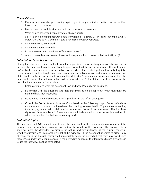#### *Criminal Events*

- 1. Do you have any charges pending against you in any criminal or traffic court other than those related to this arrest?
- 2. Do you have any outstanding warrants (are you wanted anywhere)?
- 3. What crimes have you been convicted of as an adult?

*Note: If the defendant reports being convicted of a crime as an adult continue with 4, otherwise, skip to 7. Complete 4 and 5 for each conviction reported.* 

- 4. Where were you convicted?
- 5. When were you convicted?
- 6. Have you ever been convicted of failure to appear?
- 7. Are you currently under community supervision (pretrial, local or state probation, ASAP, etc.)?

#### *Potential for False Responses*

During the interview, a defendant will sometimes give false responses to questions. This can occur because the defendant may be intentionally trying to mislead the interviewer in an attempt to make his/her background appear more favorable. Areas where the greatest potential for soliciting false responses exists include length in area, present residence, substance use and prior conviction record. Staff should make every attempt to gain the defendant's confidence while ensuring that the defendant is aware that all information will be verified. The Pretrial Officer must be aware of the potential for false answers/information.

- 1. Listen carefully to what the defendant says and how s/he answers questions.
- 2. Be familiar with the questions and data that must be collected; know which questions are next and how they interrelate.
- 3. Be attentive to any discrepancies or logical flaws in the information given.
- 4. Consult the Social Security Number Chart listed on the following page. Some defendants may attempt to mislead the interviewer by claiming to have lived in Virginia their whole life, for example, when their social security number was issued in another state. The first three digits are "area numbers." These numbers will indicate what state the subject resided in when they applied for their social security card.

#### *Prohibited Topics*

The interview shall NOT include questioning the defendant on the nature and circumstances of the current charge(s), whether a firearm was used, or the weight of the evidence. The Pretrial Officer shall not allow the defendant to discuss the nature and circumstances of the current charge(s), whether a firearm was used, or the weight of the evidence. If the defendant attempts to discuss any of these issues the Pretrial Officer shall immediately notify the defendant that they may not discuss these issues under any circumstances. If the defendant continues to attempt to discuss any of these issues the interview must be terminated.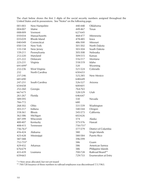The chart below shows the first 3 digits of the social security numbers assigned throughout the United States and its possessions. See "Notes" on the following page.

| 001-003  | New Hampshire  | 440-448  | Oklahoma                    |
|----------|----------------|----------|-----------------------------|
| 004-007  | Maine          | 449-467  | Texas                       |
| 008-009  | Vermont        | 627-645  |                             |
| 010-034  | Massachusetts  | 468-477  | Minnesota                   |
| 035-039  | Rhode Island   | 478-485  | lowa                        |
| 040-049  | Connecticut    | 486-500  | Missouri                    |
| 050-134  | New York       | 501-502  | North Dakota                |
| 135-158  | New Jersey     | 503-504  | South Dakota                |
| 159-211  | Pennsylvania   | 505-508  | Nebraska                    |
| 212-220  | Maryland       | 509-515  | Kansas                      |
| 221-222  | Delaware       | 516-517  | Montana                     |
| 223-231  | Virginia       | 518-519  | Idaho                       |
| 691-699* |                | 520      | Wyoming                     |
| 232-236  | West Virginia  | 521-524  | Colorado                    |
| 232      | North Carolina | 650-653  |                             |
| 237-246  |                | 525,585  | New Mexico                  |
| 681-690  |                | 648-649  |                             |
| 247-251  | South Carolina | 526-527  | Arizona                     |
| 654-658  |                | 600-601  |                             |
| 252-260  | Georgia        | 764-765  |                             |
| 667-675  |                | 528-529  | Utah                        |
| 261-267  | Florida        | 646-647  |                             |
| 589-595  |                | 530      | Nevada                      |
| 766-772  |                | 680      |                             |
| 268-302  | Ohio           | 531-539  | Washington                  |
| 303-317  | Indiana        | 540-544  | Oregon                      |
| 318-361  | Illinois       | 545-573  | California                  |
| 362-386  | Michigan       | 602-626  |                             |
| 387-399  | Wisconsin      | 574      | Alaska                      |
| 400-407  | Kentucky       | 575-576  | Hawaii                      |
| 408-415  | Tennessee      | 750-751* |                             |
| 756-763* |                | 577-579  | District of Columbia        |
| 416-424  | Alabama        | 580      | Virgin Islands              |
| 425-428  | Mississippi    | 580-584  | Puerto Rico                 |
| 587-588  |                | 596-599  |                             |
| 752-755* |                | 586      | Guam                        |
| 429-432  | Arkansas       | 586      | American Samoa              |
| 676-679  |                | 586      | Philippine Islands          |
| 433-439  | Louisiana      | 700-728  | Railroad Board**            |
| 659-665  |                | 729-733  | <b>Enumeration at Entry</b> |

\* = New areas allocated, but not yet issued

\*\* 700-728 Issuance of these numbers to railroad employees was discontinued 7/1/1963.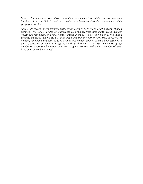*Note 1: The same area, when shown more than once, means that certain numbers have been transferred from one State to another, or that an area has been divided for use among certain geographic locations.*

*Note 2: An invalid (or impossible) Social Security number (SSN) is one which has not yet been* assigned. The SSN is divided as follows: the area number (first three digits), group number *(fourth and fifth digits), and serial number (last four digits). To determine if an SSN is invalid consider the following: No SSNs with an area number in the 800 or 900 series, or "000" area number, have been assigned. No SSNs with an area number above 728 have been assigned in the 700 series, except for 729 through 733 and 764 through 772. No SSN's with a "00" group number or "0000" serial number have been assigned. No SSNs with an area number of "666" have been or will be assigned.*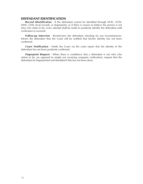## **DEFENDANT IDENTIFICATION**

*Record Identification* - If the defendant cannot be identified through NCIC, VCIN, DMV, CMS, local records, or fingerprints; or if there is reason to believe the person is not who s/he claim to be, every attempt shall be made to positively identify the defendant until verification is received.

**Follow-up Interview** - Re-interview the defendant checking for any inconsistencies. Inform the defendant that the Court will be notified that his/her identity has not been confirmed.

*Court Notification* - Notify the Court via the court report that the identity of the defendant has not been positively confirmed.

*Fingerprint Request* - When there is confidence that a defendant is not who s/he claims to be, (as opposed to simply not receiving computer verification), request that the defendant be fingerprinted and identified if this has not been done.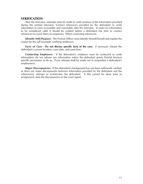## **VERIFICATION**

After the interview, attempts must be made to verify portions of the information provided during the pretrial interview. Contact references provided by the defendant to verify information as soon as possible and reasonable after the interview. In order for information to be considered valid, it should be verified before a defendant has time to contact references to coach them on responses. When contacting references:

*Identify Self/Purpose* - The Pretrial Officer must identify himself/herself and explain the reason for the call (example: verifying residence).

*Facts of Case* **- Do not discuss specific facts of the case.** If necessary release the defendant's current location, court date, and court time.

 *Contacting Employers* - If the defendant's employer must be contacted to verify information, do not release any information unless the defendant grants Pretrial Services specific permission to do so. Every attempt shall be made not to jeopardize a defendant's employment.

 *Major Discrepancies* - If the defendant's background has not been sufficiently verified, or there are major discrepancies between information provided by the defendant and the reference(s), attempt to re-interview the defendant. If this cannot be done prior to arraignment, note the discrepancies on the court report.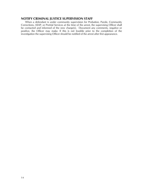## **NOTIFY CRIMINAL JUSTICE SUPERVISION STAFF**

When a defendant is under community supervision for Probation, Parole, Community Corrections, ASAP, or Pretrial Services at the time of the arrest, the supervising Officer shall be contacted and informed of the new charge(s). Document any comments, negative or positive, the Officer may make. If this is not feasible prior to the completion of the investigation the supervising Officer should be notified of the arrest after first appearance.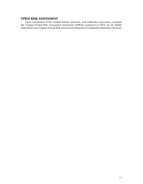## **VPRAI RISK ASSESSMENT**

Upon completion of the criminal history, interview, and verification processes, complete the Virginia Pretrial Risk Assessment Instrument (VPRAI) contained in PTCC for all eligible defendants (see Virginia Pretrial Risk Assessment Instrument Completion Instruction Manual).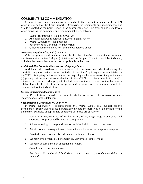## **COMMENTS/RECOMMENDATION**

Comments and recommendations to the judicial officer should be made via the VPRAI when it is a part of the Court Report. Otherwise, the comments and recommendations should be noted on the Court Report in the appropriate place. Five steps should be followed when preparing the comments and recommendations as follows:

- 1. Meets Presumption of No Bail §19.2-120
- 2. Additional Risk Considerations and/or Mitigating Factors
- 3. Pretrial Supervision Recommended
- 4. Recommended Conditions of Supervision
- 5. Other Recommendations for Term and Conditions of Bail

#### *Meets Presumption of No Bail §19.2-120*

If the Magistrate's Bail Determination Checklist has identified that the defendant meets the Presumption of No Bail per §19.2-120 of the Virginia Code it should be indicated, including the reason that presumption is applicable in this case.

#### *Additional Risk Considerations and/or Mitigating Factors*

Additional risk considerations are areas of risk that have been identified during the pretrial investigation that are not accounted for in the nine (9) primary risk factors detailed in the VPRAI. Mitigating factors are factors that may mitigate the seriousness of any of the nine (9) primary risk factors that were identified in the VPRAI. Additional risk factors and/or mitigating factors deemed appropriate for bail consideration or reconsideration that have a relationship with the risk of failure to appear and/or danger to the community should be documented for the judicial officer.

#### *Pretrial Supervision Recommended*

The Pretrial Officer should clearly indicate whether or not pretrial supervision is being recommended for the defendant.

#### *Recommended Conditions of Supervision*

If pretrial supervision is recommended the Pretrial Officer may suggest specific conditions of supervision that could potentially mitigate the perceived risk identified for the defendant. Examples of appropriate conditions of release are as follows:

- 1. Refrain from excessive use of alcohol, or use of any illegal drug or any controlled substance not prescribed by a health care provider.
- 2. Submit to testing for drugs and alcohol until the final disposition of the case.
- 3. Refrain from possessing a firearm, destructive device, or other dangerous weapon.
- 4. Avoid all contact with an alleged victim or potential witness.
- 5. Maintain employment or, if unemployed, actively seek employment.
- 6. Maintain or commence an educational program.
- 7. Comply with a specified curfew.

*See §19.2-123 of the Virginia Code for other potential appropriate conditions of supervision.*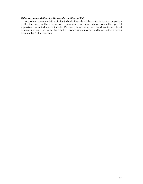#### *Other recommendations for Term and Conditions of Bail*

Any other recommendations to the judicial officer should be noted following completion of the four steps outlined previously. Examples of recommendations other than pretrial supervision as noted above include: PR bond, bond reduction, bond continued, bond increase, and no bond. At no time shall a recommendation of secured bond and supervision be made by Pretrial Services.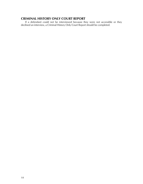## **CRIMINAL HISTORY ONLY COURT REPORT**

If a defendant could not be interviewed because they were not accessible or they declined an interview, a Criminal History Only Court Report should be completed.